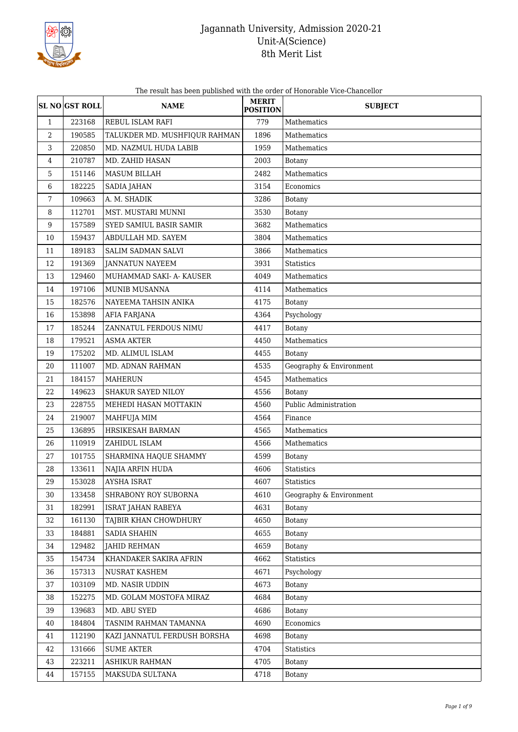

The result has been published with the order of Honorable Vice-Chancellor

|                  | <b>SL NO GST ROLL</b> | <b>NAME</b>                   | <b>MERIT</b><br><b>POSITION</b> | <b>SUBJECT</b>          |
|------------------|-----------------------|-------------------------------|---------------------------------|-------------------------|
| $\mathbf{1}$     | 223168                | REBUL ISLAM RAFI              | 779                             | Mathematics             |
| $\boldsymbol{2}$ | 190585                | TALUKDER MD. MUSHFIQUR RAHMAN | 1896                            | Mathematics             |
| 3                | 220850                | MD. NAZMUL HUDA LABIB         | 1959                            | Mathematics             |
| 4                | 210787                | MD. ZAHID HASAN               | 2003                            | Botany                  |
| 5                | 151146                | <b>MASUM BILLAH</b>           | 2482                            | Mathematics             |
| 6                | 182225                | SADIA JAHAN                   | 3154                            | Economics               |
| 7                | 109663                | A. M. SHADIK                  | 3286                            | Botany                  |
| 8                | 112701                | MST. MUSTARI MUNNI            | 3530                            | Botany                  |
| $\boldsymbol{9}$ | 157589                | SYED SAMIUL BASIR SAMIR       | 3682                            | Mathematics             |
| 10               | 159437                | ABDULLAH MD. SAYEM            | 3804                            | Mathematics             |
| 11               | 189183                | SALIM SADMAN SALVI            | 3866                            | Mathematics             |
| 12               | 191369                | <b>JANNATUN NAYEEM</b>        | 3931                            | <b>Statistics</b>       |
| 13               | 129460                | MUHAMMAD SAKI- A- KAUSER      | 4049                            | Mathematics             |
| 14               | 197106                | MUNIB MUSANNA                 | 4114                            | Mathematics             |
| 15               | 182576                | NAYEEMA TAHSIN ANIKA          | 4175                            | Botany                  |
| 16               | 153898                | AFIA FARJANA                  | 4364                            | Psychology              |
| 17               | 185244                | ZANNATUL FERDOUS NIMU         | 4417                            | Botany                  |
| 18               | 179521                | <b>ASMA AKTER</b>             | 4450                            | Mathematics             |
| 19               | 175202                | MD. ALIMUL ISLAM              | 4455                            | Botany                  |
| 20               | 111007                | MD. ADNAN RAHMAN              | 4535                            | Geography & Environment |
| 21               | 184157                | <b>MAHERUN</b>                | 4545                            | Mathematics             |
| 22               | 149623                | SHAKUR SAYED NILOY            | 4556                            | <b>Botany</b>           |
| 23               | 228755                | MEHEDI HASAN MOTTAKIN         | 4560                            | Public Administration   |
| 24               | 219007                | MAHFUJA MIM                   | 4564                            | Finance                 |
| 25               | 136895                | HRSIKESAH BARMAN              | 4565                            | Mathematics             |
| 26               | 110919                | ZAHIDUL ISLAM                 | 4566                            | Mathematics             |
| 27               | 101755                | SHARMINA HAQUE SHAMMY         | 4599                            | <b>Botany</b>           |
| 28               | 133611                | NAJIA ARFIN HUDA              | 4606                            | <b>Statistics</b>       |
| 29               | 153028                | <b>AYSHA ISRAT</b>            | 4607                            | <b>Statistics</b>       |
| 30               | 133458                | SHRABONY ROY SUBORNA          | 4610                            | Geography & Environment |
| 31               | 182991                | ISRAT JAHAN RABEYA            | 4631                            | Botany                  |
| 32               | 161130                | TAJBIR KHAN CHOWDHURY         | 4650                            | Botany                  |
| 33               | 184881                | SADIA SHAHIN                  | 4655                            | Botany                  |
| 34               | 129482                | <b>JAHID REHMAN</b>           | 4659                            | <b>Botany</b>           |
| 35               | 154734                | KHANDAKER SAKIRA AFRIN        | 4662                            | Statistics              |
| 36               | 157313                | NUSRAT KASHEM                 | 4671                            | Psychology              |
| 37               | 103109                | MD. NASIR UDDIN               | 4673                            | Botany                  |
| 38               | 152275                | MD. GOLAM MOSTOFA MIRAZ       | 4684                            | Botany                  |
| 39               | 139683                | MD. ABU SYED                  | 4686                            | Botany                  |
| 40               | 184804                | TASNIM RAHMAN TAMANNA         | 4690                            | Economics               |
| 41               | 112190                | KAZI JANNATUL FERDUSH BORSHA  | 4698                            | <b>Botany</b>           |
| 42               | 131666                | <b>SUME AKTER</b>             | 4704                            | Statistics              |
| 43               | 223211                | ASHIKUR RAHMAN                | 4705                            | <b>Botany</b>           |
| 44               | 157155                | MAKSUDA SULTANA               | 4718                            | <b>Botany</b>           |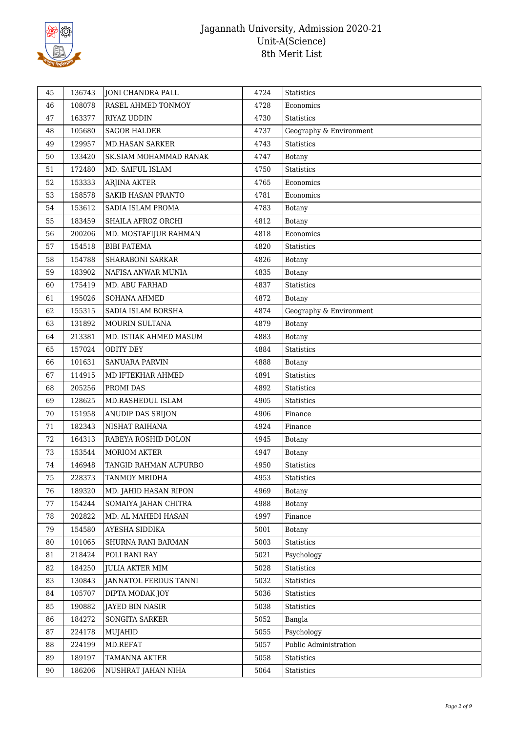

| 45 | 136743 | JONI CHANDRA PALL             | 4724 | <b>Statistics</b>       |
|----|--------|-------------------------------|------|-------------------------|
| 46 | 108078 | RASEL AHMED TONMOY            | 4728 | Economics               |
| 47 | 163377 | RIYAZ UDDIN                   | 4730 | <b>Statistics</b>       |
| 48 | 105680 | <b>SAGOR HALDER</b>           | 4737 | Geography & Environment |
| 49 | 129957 | <b>MD.HASAN SARKER</b>        | 4743 | <b>Statistics</b>       |
| 50 | 133420 | <b>SK.SIAM MOHAMMAD RANAK</b> | 4747 | Botany                  |
| 51 | 172480 | MD. SAIFUL ISLAM              | 4750 | <b>Statistics</b>       |
| 52 | 153333 | ARJINA AKTER                  | 4765 | Economics               |
| 53 | 158578 | <b>SAKIB HASAN PRANTO</b>     | 4781 | Economics               |
| 54 | 153612 | SADIA ISLAM PROMA             | 4783 | Botany                  |
| 55 | 183459 | SHAILA AFROZ ORCHI            | 4812 | Botany                  |
| 56 | 200206 | MD. MOSTAFIJUR RAHMAN         | 4818 | Economics               |
| 57 | 154518 | <b>BIBI FATEMA</b>            | 4820 | Statistics              |
| 58 | 154788 | <b>SHARABONI SARKAR</b>       | 4826 | <b>Botany</b>           |
| 59 | 183902 | NAFISA ANWAR MUNIA            | 4835 | Botany                  |
| 60 | 175419 | MD. ABU FARHAD                | 4837 | Statistics              |
| 61 | 195026 | SOHANA AHMED                  | 4872 | Botany                  |
| 62 | 155315 | SADIA ISLAM BORSHA            | 4874 | Geography & Environment |
| 63 | 131892 | MOURIN SULTANA                | 4879 | Botany                  |
| 64 | 213381 | MD. ISTIAK AHMED MASUM        | 4883 | <b>Botany</b>           |
| 65 | 157024 | <b>ODITY DEY</b>              | 4884 | Statistics              |
| 66 | 101631 | <b>SANUARA PARVIN</b>         | 4888 | Botany                  |
| 67 | 114915 | MD IFTEKHAR AHMED             | 4891 | Statistics              |
| 68 | 205256 | PROMI DAS                     | 4892 | <b>Statistics</b>       |
| 69 | 128625 | MD.RASHEDUL ISLAM             | 4905 | <b>Statistics</b>       |
| 70 | 151958 | ANUDIP DAS SRIJON             | 4906 | Finance                 |
| 71 | 182343 | NISHAT RAIHANA                | 4924 | Finance                 |
| 72 | 164313 | RABEYA ROSHID DOLON           | 4945 | Botany                  |
| 73 | 153544 | <b>MORIOM AKTER</b>           | 4947 | Botany                  |
| 74 | 146948 | TANGID RAHMAN AUPURBO         | 4950 | Statistics              |
| 75 | 228373 | TANMOY MRIDHA                 | 4953 | Statistics              |
| 76 | 189320 | MD. JAHID HASAN RIPON         | 4969 | Botany                  |
| 77 | 154244 | SOMAIYA JAHAN CHITRA          | 4988 | Botany                  |
| 78 | 202822 | MD. AL MAHEDI HASAN           | 4997 | Finance                 |
| 79 | 154580 | AYESHA SIDDIKA                | 5001 | Botany                  |
| 80 | 101065 | SHURNA RANI BARMAN            | 5003 | Statistics              |
| 81 | 218424 | POLI RANI RAY                 | 5021 | Psychology              |
| 82 | 184250 | <b>JULIA AKTER MIM</b>        | 5028 | Statistics              |
| 83 | 130843 | JANNATOL FERDUS TANNI         | 5032 | Statistics              |
| 84 | 105707 | DIPTA MODAK JOY               | 5036 | <b>Statistics</b>       |
| 85 | 190882 | <b>JAYED BIN NASIR</b>        | 5038 | Statistics              |
| 86 | 184272 | SONGITA SARKER                | 5052 | Bangla                  |
| 87 | 224178 | MUJAHID                       | 5055 | Psychology              |
| 88 | 224199 | MD.REFAT                      | 5057 | Public Administration   |
| 89 | 189197 | TAMANNA AKTER                 | 5058 | Statistics              |
| 90 | 186206 | NUSHRAT JAHAN NIHA            | 5064 | Statistics              |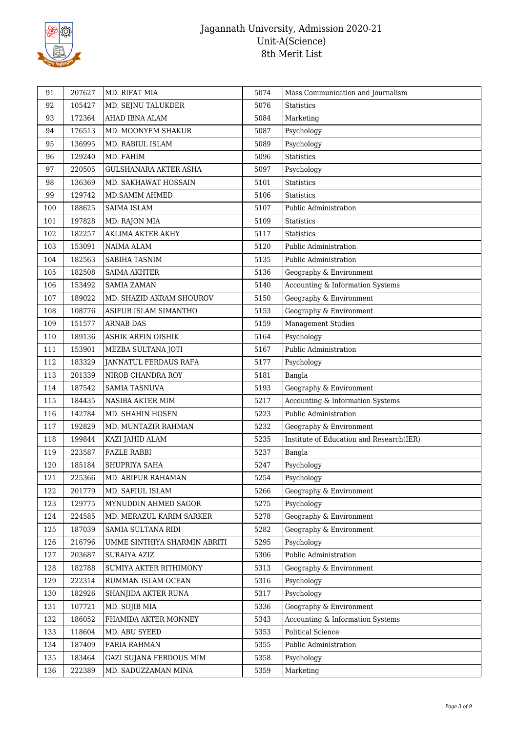

| 91  | 207627 | MD. RIFAT MIA                | 5074 | Mass Communication and Journalism        |
|-----|--------|------------------------------|------|------------------------------------------|
| 92  | 105427 | MD. SEJNU TALUKDER           | 5076 | <b>Statistics</b>                        |
| 93  | 172364 | AHAD IBNA ALAM               | 5084 | Marketing                                |
| 94  | 176513 | MD. MOONYEM SHAKUR           | 5087 | Psychology                               |
| 95  | 136995 | MD. RABIUL ISLAM             | 5089 | Psychology                               |
| 96  | 129240 | MD. FAHIM                    | 5096 | <b>Statistics</b>                        |
| 97  | 220505 | <b>GULSHANARA AKTER ASHA</b> | 5097 | Psychology                               |
| 98  | 136369 | MD. SAKHAWAT HOSSAIN         | 5101 | Statistics                               |
| 99  | 129742 | MD.SAMIM AHMED               | 5106 | <b>Statistics</b>                        |
| 100 | 188625 | SAIMA ISLAM                  | 5107 | Public Administration                    |
| 101 | 197828 | MD. RAJON MIA                | 5109 | <b>Statistics</b>                        |
| 102 | 182257 | AKLIMA AKTER AKHY            | 5117 | <b>Statistics</b>                        |
| 103 | 153091 | NAIMA ALAM                   | 5120 | Public Administration                    |
| 104 | 182563 | SABIHA TASNIM                | 5135 | Public Administration                    |
| 105 | 182508 | SAIMA AKHTER                 | 5136 | Geography & Environment                  |
| 106 | 153492 | <b>SAMIA ZAMAN</b>           | 5140 | Accounting & Information Systems         |
| 107 | 189022 | MD. SHAZID AKRAM SHOUROV     | 5150 | Geography & Environment                  |
| 108 | 108776 | ASIFUR ISLAM SIMANTHO        | 5153 | Geography & Environment                  |
| 109 | 151577 | <b>ARNAB DAS</b>             | 5159 | <b>Management Studies</b>                |
| 110 | 189136 | <b>ASHIK ARFIN OISHIK</b>    | 5164 | Psychology                               |
| 111 | 153901 | MEZBA SULTANA JOTI           | 5167 | Public Administration                    |
| 112 | 183329 | <b>JANNATUL FERDAUS RAFA</b> | 5177 | Psychology                               |
| 113 | 201339 | NIROB CHANDRA ROY            | 5181 | Bangla                                   |
| 114 | 187542 | <b>SAMIA TASNUVA</b>         | 5193 | Geography & Environment                  |
| 115 | 184435 | NASIBA AKTER MIM             | 5217 | Accounting & Information Systems         |
| 116 | 142784 | MD. SHAHIN HOSEN             | 5223 | Public Administration                    |
| 117 | 192829 | MD. MUNTAZIR RAHMAN          | 5232 | Geography & Environment                  |
| 118 | 199844 | KAZI JAHID ALAM              | 5235 | Institute of Education and Research(IER) |
| 119 | 223587 | <b>FAZLE RABBI</b>           | 5237 | Bangla                                   |
| 120 | 185184 | SHUPRIYA SAHA                | 5247 | Psychology                               |
| 121 | 225366 | MD. ARIFUR RAHAMAN           | 5254 | Psychology                               |
| 122 | 201779 | MD. SAFIUL ISLAM             | 5266 | Geography & Environment                  |
| 123 | 129775 | MYNUDDIN AHMED SAGOR         | 5275 | Psychology                               |
| 124 | 224585 | MD. MERAZUL KARIM SARKER     | 5278 | Geography & Environment                  |
| 125 | 187039 | SAMIA SULTANA RIDI           | 5282 | Geography & Environment                  |
| 126 | 216796 | UMME SINTHIYA SHARMIN ABRITI | 5295 | Psychology                               |
| 127 | 203687 | SURAIYA AZIZ                 | 5306 | Public Administration                    |
| 128 | 182788 | SUMIYA AKTER RITHIMONY       | 5313 | Geography & Environment                  |
| 129 | 222314 | RUMMAN ISLAM OCEAN           | 5316 | Psychology                               |
| 130 | 182926 | SHANJIDA AKTER RUNA          | 5317 | Psychology                               |
| 131 | 107721 | MD. SOJIB MIA                | 5336 | Geography & Environment                  |
| 132 | 186052 | FHAMIDA AKTER MONNEY         | 5343 | Accounting & Information Systems         |
| 133 | 118604 | MD. ABU SYEED                | 5353 | Political Science                        |
| 134 | 187409 | FARIA RAHMAN                 | 5355 | Public Administration                    |
| 135 | 183464 | GAZI SUJANA FERDOUS MIM      | 5358 | Psychology                               |
| 136 | 222389 | MD. SADUZZAMAN MINA          | 5359 | Marketing                                |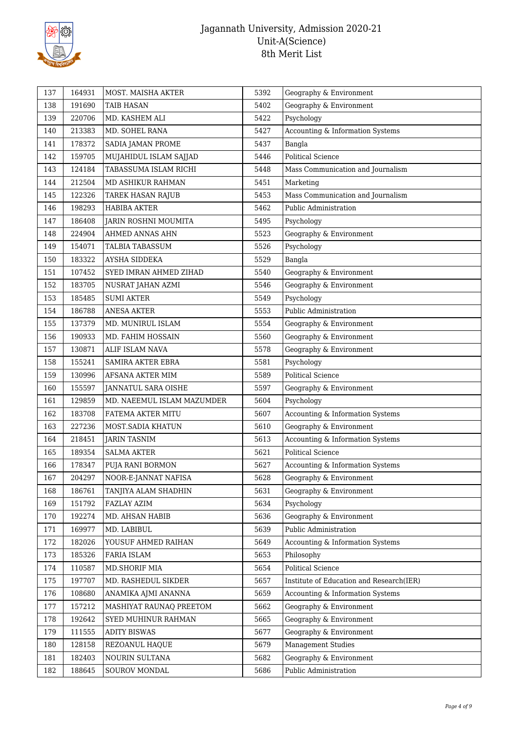

| 137 | 164931 | MOST. MAISHA AKTER         | 5392 | Geography & Environment                  |
|-----|--------|----------------------------|------|------------------------------------------|
| 138 | 191690 | <b>TAIB HASAN</b>          | 5402 | Geography & Environment                  |
| 139 | 220706 | MD. KASHEM ALI             | 5422 | Psychology                               |
| 140 | 213383 | MD. SOHEL RANA             | 5427 | Accounting & Information Systems         |
| 141 | 178372 | SADIA JAMAN PROME          | 5437 | Bangla                                   |
| 142 | 159705 | MUJAHIDUL ISLAM SAJJAD     | 5446 | <b>Political Science</b>                 |
| 143 | 124184 | TABASSUMA ISLAM RICHI      | 5448 | Mass Communication and Journalism        |
| 144 | 212504 | MD ASHIKUR RAHMAN          | 5451 | Marketing                                |
| 145 | 122326 | <b>TAREK HASAN RAJUB</b>   | 5453 | Mass Communication and Journalism        |
| 146 | 198293 | <b>HABIBA AKTER</b>        | 5462 | Public Administration                    |
| 147 | 186408 | JARIN ROSHNI MOUMITA       | 5495 | Psychology                               |
| 148 | 224904 | AHMED ANNAS AHN            | 5523 | Geography & Environment                  |
| 149 | 154071 | TALBIA TABASSUM            | 5526 | Psychology                               |
| 150 | 183322 | AYSHA SIDDEKA              | 5529 | Bangla                                   |
| 151 | 107452 | SYED IMRAN AHMED ZIHAD     | 5540 | Geography & Environment                  |
| 152 | 183705 | NUSRAT JAHAN AZMI          | 5546 | Geography & Environment                  |
| 153 | 185485 | <b>SUMI AKTER</b>          | 5549 | Psychology                               |
| 154 | 186788 | <b>ANESA AKTER</b>         | 5553 | Public Administration                    |
| 155 | 137379 | MD. MUNIRUL ISLAM          | 5554 | Geography & Environment                  |
| 156 | 190933 | MD. FAHIM HOSSAIN          | 5560 | Geography & Environment                  |
| 157 | 130871 | ALIF ISLAM NAVA            | 5578 | Geography & Environment                  |
| 158 | 155241 | SAMIRA AKTER EBRA          | 5581 | Psychology                               |
| 159 | 130996 | AFSANA AKTER MIM           | 5589 | <b>Political Science</b>                 |
| 160 | 155597 | JANNATUL SARA OISHE        | 5597 | Geography & Environment                  |
| 161 | 129859 | MD. NAEEMUL ISLAM MAZUMDER | 5604 | Psychology                               |
| 162 | 183708 | FATEMA AKTER MITU          | 5607 | Accounting & Information Systems         |
| 163 | 227236 | MOST.SADIA KHATUN          | 5610 | Geography & Environment                  |
| 164 | 218451 | JARIN TASNIM               | 5613 | Accounting & Information Systems         |
| 165 | 189354 | <b>SALMA AKTER</b>         | 5621 | <b>Political Science</b>                 |
| 166 | 178347 | PUJA RANI BORMON           | 5627 | Accounting & Information Systems         |
| 167 | 204297 | NOOR-E-JANNAT NAFISA       | 5628 | Geography & Environment                  |
| 168 | 186761 | TANJIYA ALAM SHADHIN       | 5631 | Geography & Environment                  |
| 169 | 151792 | FAZLAY AZIM                | 5634 | Psychology                               |
| 170 | 192274 | MD. AHSAN HABIB            | 5636 | Geography & Environment                  |
| 171 | 169977 | MD. LABIBUL                | 5639 | Public Administration                    |
| 172 | 182026 | YOUSUF AHMED RAIHAN        | 5649 | Accounting & Information Systems         |
| 173 | 185326 | FARIA ISLAM                | 5653 | Philosophy                               |
| 174 | 110587 | MD.SHORIF MIA              | 5654 | <b>Political Science</b>                 |
| 175 | 197707 | MD. RASHEDUL SIKDER        | 5657 | Institute of Education and Research(IER) |
| 176 | 108680 | ANAMIKA AJMI ANANNA        | 5659 | Accounting & Information Systems         |
| 177 | 157212 | MASHIYAT RAUNAQ PREETOM    | 5662 | Geography & Environment                  |
| 178 | 192642 | SYED MUHINUR RAHMAN        | 5665 | Geography & Environment                  |
| 179 | 111555 | <b>ADITY BISWAS</b>        | 5677 | Geography & Environment                  |
| 180 | 128158 | REZOANUL HAQUE             | 5679 | <b>Management Studies</b>                |
| 181 | 182403 | NOURIN SULTANA             | 5682 | Geography & Environment                  |
| 182 | 188645 | SOUROV MONDAL              | 5686 | Public Administration                    |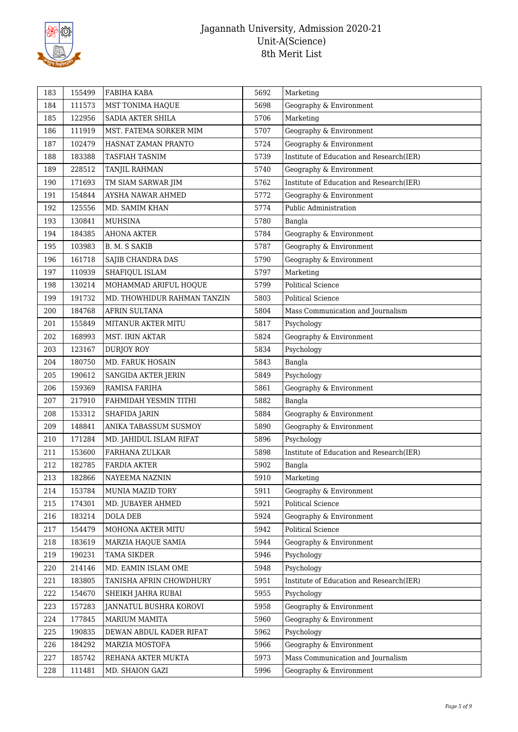

| 183 | 155499 | FABIHA KABA                 | 5692 | Marketing                                |
|-----|--------|-----------------------------|------|------------------------------------------|
| 184 | 111573 | MST TONIMA HAQUE            | 5698 | Geography & Environment                  |
| 185 | 122956 | SADIA AKTER SHILA           | 5706 | Marketing                                |
| 186 | 111919 | MST. FATEMA SORKER MIM      | 5707 | Geography & Environment                  |
| 187 | 102479 | HASNAT ZAMAN PRANTO         | 5724 | Geography & Environment                  |
| 188 | 183388 | TASFIAH TASNIM              | 5739 | Institute of Education and Research(IER) |
| 189 | 228512 | TANJIL RAHMAN               | 5740 | Geography & Environment                  |
| 190 | 171693 | TM SIAM SARWAR JIM          | 5762 | Institute of Education and Research(IER) |
| 191 | 154844 | AYSHA NAWAR AHMED           | 5772 | Geography & Environment                  |
| 192 | 125556 | MD. SAMIM KHAN              | 5774 | Public Administration                    |
| 193 | 130841 | MUHSINA                     | 5780 | Bangla                                   |
| 194 | 184385 | <b>AHONA AKTER</b>          | 5784 | Geography & Environment                  |
| 195 | 103983 | B. M. S SAKIB               | 5787 | Geography & Environment                  |
| 196 | 161718 | SAJIB CHANDRA DAS           | 5790 | Geography & Environment                  |
| 197 | 110939 | SHAFIQUL ISLAM              | 5797 | Marketing                                |
| 198 | 130214 | MOHAMMAD ARIFUL HOQUE       | 5799 | Political Science                        |
| 199 | 191732 | MD. THOWHIDUR RAHMAN TANZIN | 5803 | Political Science                        |
| 200 | 184768 | AFRIN SULTANA               | 5804 | Mass Communication and Journalism        |
| 201 | 155849 | MITANUR AKTER MITU          | 5817 | Psychology                               |
| 202 | 168993 | MST. IRIN AKTAR             | 5824 | Geography & Environment                  |
| 203 | 123167 | <b>DURJOY ROY</b>           | 5834 | Psychology                               |
| 204 | 180750 | <b>MD. FARUK HOSAIN</b>     | 5843 | Bangla                                   |
| 205 | 190612 | SANGIDA AKTER JERIN         | 5849 | Psychology                               |
| 206 | 159369 | RAMISA FARIHA               | 5861 | Geography & Environment                  |
| 207 | 217910 | FAHMIDAH YESMIN TITHI       | 5882 | Bangla                                   |
| 208 | 153312 | SHAFIDA JARIN               | 5884 | Geography & Environment                  |
| 209 | 148841 | ANIKA TABASSUM SUSMOY       | 5890 | Geography & Environment                  |
| 210 | 171284 | MD. JAHIDUL ISLAM RIFAT     | 5896 | Psychology                               |
| 211 | 153600 | FARHANA ZULKAR              | 5898 | Institute of Education and Research(IER) |
| 212 | 182785 | <b>FARDIA AKTER</b>         | 5902 | Bangla                                   |
| 213 | 182866 | NAYEEMA NAZNIN              | 5910 | Marketing                                |
| 214 | 153784 | MUNIA MAZID TORY            | 5911 | Geography & Environment                  |
| 215 | 174301 | MD. JUBAYER AHMED           | 5921 | Political Science                        |
| 216 | 183214 | DOLA DEB                    | 5924 | Geography & Environment                  |
| 217 | 154479 | MOHONA AKTER MITU           | 5942 | Political Science                        |
| 218 | 183619 | MARZIA HAQUE SAMIA          | 5944 | Geography & Environment                  |
| 219 | 190231 | <b>TAMA SIKDER</b>          | 5946 | Psychology                               |
| 220 | 214146 | MD. EAMIN ISLAM OME         | 5948 | Psychology                               |
| 221 | 183805 | TANISHA AFRIN CHOWDHURY     | 5951 | Institute of Education and Research(IER) |
| 222 | 154670 | SHEIKH JAHRA RUBAI          | 5955 | Psychology                               |
| 223 | 157283 | JANNATUL BUSHRA KOROVI      | 5958 | Geography & Environment                  |
| 224 | 177845 | MARIUM MAMITA               | 5960 | Geography & Environment                  |
| 225 | 190835 | DEWAN ABDUL KADER RIFAT     | 5962 | Psychology                               |
| 226 | 184292 | MARZIA MOSTOFA              | 5966 | Geography & Environment                  |
| 227 | 185742 | REHANA AKTER MUKTA          | 5973 | Mass Communication and Journalism        |
| 228 | 111481 | MD. SHAION GAZI             | 5996 | Geography & Environment                  |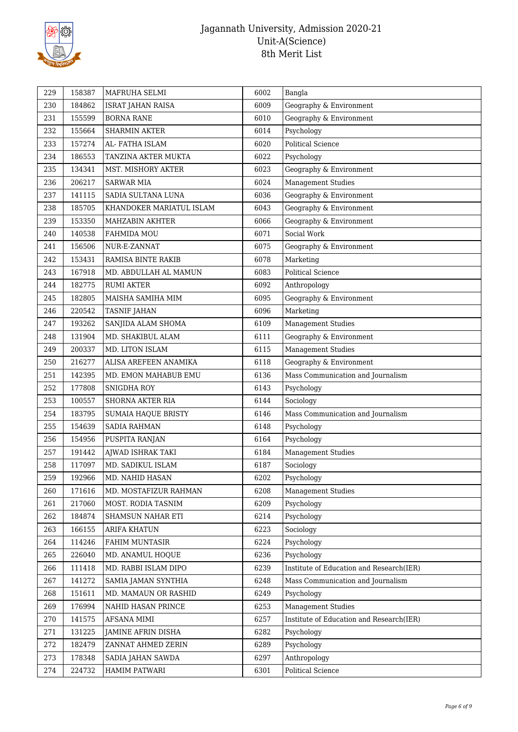

| 229 | 158387 | MAFRUHA SELMI              | 6002 | Bangla                                   |
|-----|--------|----------------------------|------|------------------------------------------|
| 230 | 184862 | <b>ISRAT JAHAN RAISA</b>   | 6009 | Geography & Environment                  |
| 231 | 155599 | <b>BORNA RANE</b>          | 6010 | Geography & Environment                  |
| 232 | 155664 | <b>SHARMIN AKTER</b>       | 6014 | Psychology                               |
| 233 | 157274 | AL- FATHA ISLAM            | 6020 | <b>Political Science</b>                 |
| 234 | 186553 | TANZINA AKTER MUKTA        | 6022 | Psychology                               |
| 235 | 134341 | MST. MISHORY AKTER         | 6023 | Geography & Environment                  |
| 236 | 206217 | <b>SARWAR MIA</b>          | 6024 | <b>Management Studies</b>                |
| 237 | 141115 | SADIA SULTANA LUNA         | 6036 | Geography & Environment                  |
| 238 | 185705 | KHANDOKER MARIATUL ISLAM   | 6043 | Geography & Environment                  |
| 239 | 153350 | <b>MAHZABIN AKHTER</b>     | 6066 | Geography & Environment                  |
| 240 | 140538 | FAHMIDA MOU                | 6071 | Social Work                              |
| 241 | 156506 | NUR-E-ZANNAT               | 6075 | Geography & Environment                  |
| 242 | 153431 | RAMISA BINTE RAKIB         | 6078 | Marketing                                |
| 243 | 167918 | MD. ABDULLAH AL MAMUN      | 6083 | Political Science                        |
| 244 | 182775 | <b>RUMI AKTER</b>          | 6092 | Anthropology                             |
| 245 | 182805 | MAISHA SAMIHA MIM          | 6095 | Geography & Environment                  |
| 246 | 220542 | <b>TASNIF JAHAN</b>        | 6096 | Marketing                                |
| 247 | 193262 | SANJIDA ALAM SHOMA         | 6109 | <b>Management Studies</b>                |
| 248 | 131904 | MD. SHAKIBUL ALAM          | 6111 | Geography & Environment                  |
| 249 | 200337 | MD. LITON ISLAM            | 6115 | <b>Management Studies</b>                |
| 250 | 216277 | ALISA AREFEEN ANAMIKA      | 6118 | Geography & Environment                  |
| 251 | 142395 | MD. EMON MAHABUB EMU       | 6136 | Mass Communication and Journalism        |
| 252 | 177808 | <b>SNIGDHA ROY</b>         | 6143 | Psychology                               |
| 253 | 100557 | SHORNA AKTER RIA           | 6144 | Sociology                                |
| 254 | 183795 | <b>SUMAIA HAQUE BRISTY</b> | 6146 | Mass Communication and Journalism        |
| 255 | 154639 | SADIA RAHMAN               | 6148 | Psychology                               |
| 256 | 154956 | PUSPITA RANJAN             | 6164 | Psychology                               |
| 257 | 191442 | AJWAD ISHRAK TAKI          | 6184 | <b>Management Studies</b>                |
| 258 | 117097 | MD. SADIKUL ISLAM          | 6187 | Sociology                                |
| 259 | 192966 | MD. NAHID HASAN            | 6202 | Psychology                               |
| 260 | 171616 | MD. MOSTAFIZUR RAHMAN      | 6208 | Management Studies                       |
| 261 | 217060 | MOST. RODIA TASNIM         | 6209 | Psychology                               |
| 262 | 184874 | SHAMSUN NAHAR ETI          | 6214 | Psychology                               |
| 263 | 166155 | ARIFA KHATUN               | 6223 | Sociology                                |
| 264 | 114246 | <b>FAHIM MUNTASIR</b>      | 6224 | Psychology                               |
| 265 | 226040 | MD. ANAMUL HOQUE           | 6236 | Psychology                               |
| 266 | 111418 | MD. RABBI ISLAM DIPO       | 6239 | Institute of Education and Research(IER) |
| 267 | 141272 | SAMIA JAMAN SYNTHIA        | 6248 | Mass Communication and Journalism        |
| 268 | 151611 | MD. MAMAUN OR RASHID       | 6249 | Psychology                               |
| 269 | 176994 | NAHID HASAN PRINCE         | 6253 | <b>Management Studies</b>                |
| 270 | 141575 | AFSANA MIMI                | 6257 | Institute of Education and Research(IER) |
| 271 | 131225 | JAMINE AFRIN DISHA         | 6282 | Psychology                               |
| 272 | 182479 | ZANNAT AHMED ZERIN         | 6289 | Psychology                               |
| 273 | 178348 | SADIA JAHAN SAWDA          | 6297 | Anthropology                             |
| 274 | 224732 | HAMIM PATWARI              | 6301 | Political Science                        |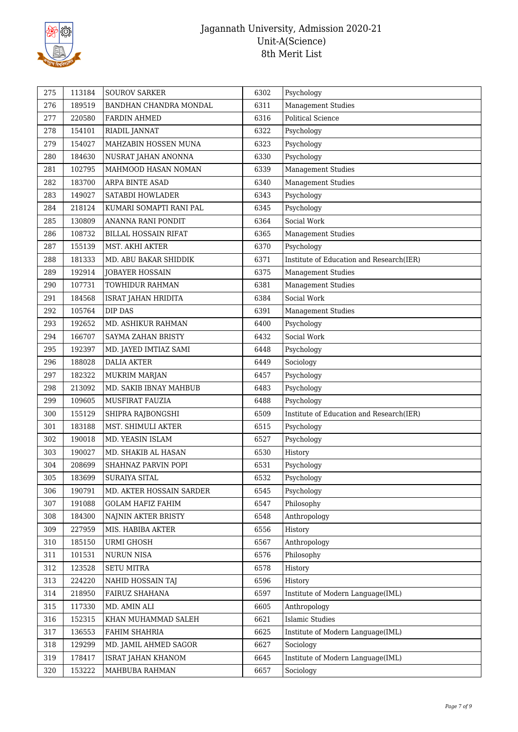

| 275 | 113184 | <b>SOUROV SARKER</b>        | 6302 | Psychology                               |
|-----|--------|-----------------------------|------|------------------------------------------|
| 276 | 189519 | BANDHAN CHANDRA MONDAL      | 6311 | <b>Management Studies</b>                |
| 277 | 220580 | <b>FARDIN AHMED</b>         | 6316 | <b>Political Science</b>                 |
| 278 | 154101 | RIADIL JANNAT               | 6322 | Psychology                               |
| 279 | 154027 | MAHZABIN HOSSEN MUNA        | 6323 | Psychology                               |
| 280 | 184630 | NUSRAT JAHAN ANONNA         | 6330 | Psychology                               |
| 281 | 102795 | MAHMOOD HASAN NOMAN         | 6339 | <b>Management Studies</b>                |
| 282 | 183700 | ARPA BINTE ASAD             | 6340 | <b>Management Studies</b>                |
| 283 | 149027 | SATABDI HOWLADER            | 6343 | Psychology                               |
| 284 | 218124 | KUMARI SOMAPTI RANI PAL     | 6345 | Psychology                               |
| 285 | 130809 | ANANNA RANI PONDIT          | 6364 | Social Work                              |
| 286 | 108732 | <b>BILLAL HOSSAIN RIFAT</b> | 6365 | <b>Management Studies</b>                |
| 287 | 155139 | MST. AKHI AKTER             | 6370 | Psychology                               |
| 288 | 181333 | MD. ABU BAKAR SHIDDIK       | 6371 | Institute of Education and Research(IER) |
| 289 | 192914 | <b>JOBAYER HOSSAIN</b>      | 6375 | <b>Management Studies</b>                |
| 290 | 107731 | TOWHIDUR RAHMAN             | 6381 | <b>Management Studies</b>                |
| 291 | 184568 | ISRAT JAHAN HRIDITA         | 6384 | Social Work                              |
| 292 | 105764 | DIP DAS                     | 6391 | <b>Management Studies</b>                |
| 293 | 192652 | MD. ASHIKUR RAHMAN          | 6400 | Psychology                               |
| 294 | 166707 | SAYMA ZAHAN BRISTY          | 6432 | Social Work                              |
| 295 | 192397 | MD. JAYED IMTIAZ SAMI       | 6448 | Psychology                               |
| 296 | 188028 | <b>DALIA AKTER</b>          | 6449 | Sociology                                |
| 297 | 182322 | MUKRIM MARJAN               | 6457 | Psychology                               |
| 298 | 213092 | MD. SAKIB IBNAY MAHBUB      | 6483 | Psychology                               |
| 299 | 109605 | MUSFIRAT FAUZIA             | 6488 | Psychology                               |
| 300 | 155129 | SHIPRA RAJBONGSHI           | 6509 | Institute of Education and Research(IER) |
| 301 | 183188 | MST. SHIMULI AKTER          | 6515 | Psychology                               |
| 302 | 190018 | MD. YEASIN ISLAM            | 6527 | Psychology                               |
| 303 | 190027 | MD. SHAKIB AL HASAN         | 6530 | History                                  |
| 304 | 208699 | SHAHNAZ PARVIN POPI         | 6531 | Psychology                               |
| 305 | 183699 | SURAIYA SITAL               | 6532 | Psychology                               |
| 306 | 190791 | MD. AKTER HOSSAIN SARDER    | 6545 | Psychology                               |
| 307 | 191088 | <b>GOLAM HAFIZ FAHIM</b>    | 6547 | Philosophy                               |
| 308 | 184300 | NAJNIN AKTER BRISTY         | 6548 | Anthropology                             |
| 309 | 227959 | MIS. HABIBA AKTER           | 6556 | History                                  |
| 310 | 185150 | <b>URMI GHOSH</b>           | 6567 | Anthropology                             |
| 311 | 101531 | NURUN NISA                  | 6576 | Philosophy                               |
| 312 | 123528 | <b>SETU MITRA</b>           | 6578 | History                                  |
| 313 | 224220 | NAHID HOSSAIN TAJ           | 6596 | History                                  |
| 314 | 218950 | FAIRUZ SHAHANA              | 6597 | Institute of Modern Language(IML)        |
| 315 | 117330 | MD. AMIN ALI                | 6605 | Anthropology                             |
| 316 | 152315 | KHAN MUHAMMAD SALEH         | 6621 | <b>Islamic Studies</b>                   |
| 317 | 136553 | FAHIM SHAHRIA               | 6625 | Institute of Modern Language(IML)        |
| 318 | 129299 | MD. JAMIL AHMED SAGOR       | 6627 | Sociology                                |
| 319 | 178417 | <b>ISRAT JAHAN KHANOM</b>   | 6645 | Institute of Modern Language(IML)        |
| 320 | 153222 | MAHBUBA RAHMAN              | 6657 | Sociology                                |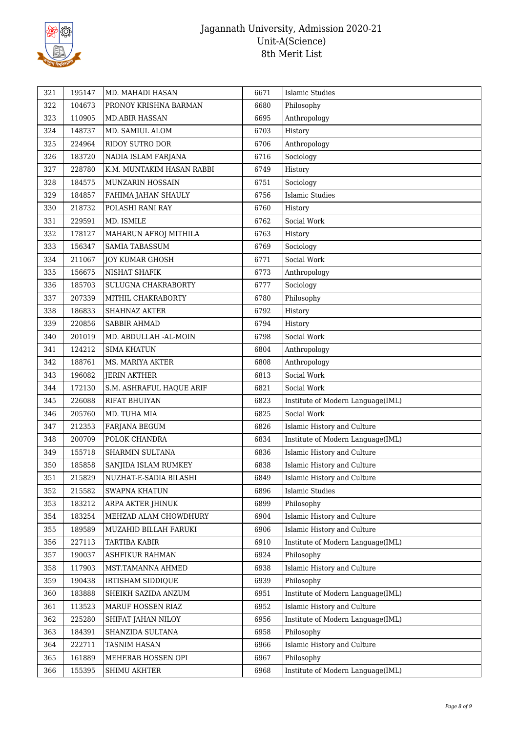

| 321 | 195147 | MD. MAHADI HASAN          | 6671 | Islamic Studies                   |
|-----|--------|---------------------------|------|-----------------------------------|
| 322 | 104673 | PRONOY KRISHNA BARMAN     | 6680 | Philosophy                        |
| 323 | 110905 | <b>MD.ABIR HASSAN</b>     | 6695 | Anthropology                      |
| 324 | 148737 | MD. SAMIUL ALOM           | 6703 | History                           |
| 325 | 224964 | RIDOY SUTRO DOR           | 6706 | Anthropology                      |
| 326 | 183720 | NADIA ISLAM FARJANA       | 6716 | Sociology                         |
| 327 | 228780 | K.M. MUNTAKIM HASAN RABBI | 6749 | History                           |
| 328 | 184575 | MUNZARIN HOSSAIN          | 6751 | Sociology                         |
| 329 | 184857 | FAHIMA JAHAN SHAULY       | 6756 | <b>Islamic Studies</b>            |
| 330 | 218732 | POLASHI RANI RAY          | 6760 | History                           |
| 331 | 229591 | MD. ISMILE                | 6762 | Social Work                       |
| 332 | 178127 | MAHARUN AFROJ MITHILA     | 6763 | History                           |
| 333 | 156347 | SAMIA TABASSUM            | 6769 | Sociology                         |
| 334 | 211067 | <b>JOY KUMAR GHOSH</b>    | 6771 | Social Work                       |
| 335 | 156675 | NISHAT SHAFIK             | 6773 | Anthropology                      |
| 336 | 185703 | SULUGNA CHAKRABORTY       | 6777 | Sociology                         |
| 337 | 207339 | MITHIL CHAKRABORTY        | 6780 | Philosophy                        |
| 338 | 186833 | SHAHNAZ AKTER             | 6792 | History                           |
| 339 | 220856 | SABBIR AHMAD              | 6794 | History                           |
| 340 | 201019 | MD. ABDULLAH -AL-MOIN     | 6798 | Social Work                       |
| 341 | 124212 | <b>SIMA KHATUN</b>        | 6804 | Anthropology                      |
| 342 | 188761 | <b>MS. MARIYA AKTER</b>   | 6808 | Anthropology                      |
| 343 | 196082 | <b>JERIN AKTHER</b>       | 6813 | Social Work                       |
| 344 | 172130 | S.M. ASHRAFUL HAQUE ARIF  | 6821 | Social Work                       |
| 345 | 226088 | RIFAT BHUIYAN             | 6823 | Institute of Modern Language(IML) |
| 346 | 205760 | MD. TUHA MIA              | 6825 | Social Work                       |
| 347 | 212353 | FARJANA BEGUM             | 6826 | Islamic History and Culture       |
| 348 | 200709 | POLOK CHANDRA             | 6834 | Institute of Modern Language(IML) |
| 349 | 155718 | SHARMIN SULTANA           | 6836 | Islamic History and Culture       |
| 350 | 185858 | SANJIDA ISLAM RUMKEY      | 6838 | Islamic History and Culture       |
| 351 | 215829 | NUZHAT-E-SADIA BILASHI    | 6849 | Islamic History and Culture       |
| 352 | 215582 | <b>SWAPNA KHATUN</b>      | 6896 | <b>Islamic Studies</b>            |
| 353 | 183212 | ARPA AKTER JHINUK         | 6899 | Philosophy                        |
| 354 | 183254 | MEHZAD ALAM CHOWDHURY     | 6904 | Islamic History and Culture       |
| 355 | 189589 | MUZAHID BILLAH FARUKI     | 6906 | Islamic History and Culture       |
| 356 | 227113 | TARTIBA KABIR             | 6910 | Institute of Modern Language(IML) |
| 357 | 190037 | ASHFIKUR RAHMAN           | 6924 | Philosophy                        |
| 358 | 117903 | MST.TAMANNA AHMED         | 6938 | Islamic History and Culture       |
| 359 | 190438 | IRTISHAM SIDDIQUE         | 6939 | Philosophy                        |
| 360 | 183888 | SHEIKH SAZIDA ANZUM       | 6951 | Institute of Modern Language(IML) |
| 361 | 113523 | MARUF HOSSEN RIAZ         | 6952 | Islamic History and Culture       |
| 362 | 225280 | SHIFAT JAHAN NILOY        | 6956 | Institute of Modern Language(IML) |
| 363 | 184391 | SHANZIDA SULTANA          | 6958 | Philosophy                        |
| 364 | 222711 | <b>TASNIM HASAN</b>       | 6966 | Islamic History and Culture       |
| 365 | 161889 | MEHERAB HOSSEN OPI        | 6967 | Philosophy                        |
| 366 | 155395 | SHIMU AKHTER              | 6968 | Institute of Modern Language(IML) |